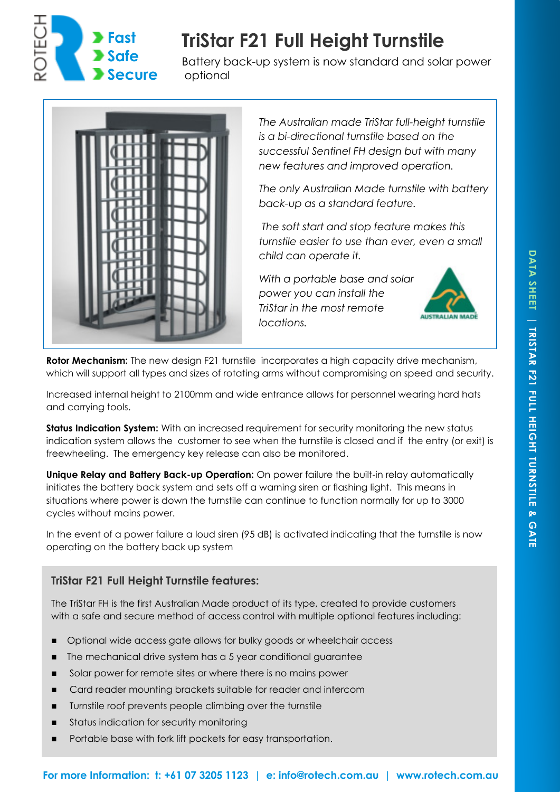

# **TriStar F21 Full Height Turnstile**

Battery back-up system is now standard and solar power optional



*The Australian made TriStar full-height turnstile is a bi-directional turnstile based on the successful Sentinel FH design but with many new features and improved operation.* 

*The only Australian Made turnstile with battery back-up as a standard feature.* 

 *The soft start and stop feature makes this turnstile easier to use than ever, even a small child can operate it.* 

*With a portable base and solar power you can install the TriStar in the most remote locations.* 



**Rotor Mechanism:** The new design F21 turnstile incorporates a high capacity drive mechanism, which will support all types and sizes of rotating arms without compromising on speed and security.

Increased internal height to 2100mm and wide entrance allows for personnel wearing hard hats and carrying tools.

**Status Indication System:** With an increased requirement for security monitoring the new status indication system allows the customer to see when the turnstile is closed and if the entry (or exit) is freewheeling. The emergency key release can also be monitored.

**Unique Relay and Battery Back-up Operation:** On power failure the built-in relay automatically initiates the battery back system and sets off a warning siren or flashing light. This means in situations where power is down the turnstile can continue to function normally for up to 3000 cycles without mains power.

In the event of a power failure a loud siren (95 dB) is activated indicating that the turnstile is now operating on the battery back up system

### **TriStar F21 Full Height Turnstile features:**

The TriStar FH is the first Australian Made product of its type, created to provide customers with a safe and secure method of access control with multiple optional features including:

- Optional wide access gate allows for bulky goods or wheelchair access
- The mechanical drive system has a 5 year conditional guarantee
- Solar power for remote sites or where there is no mains power
- **EXEC** Card reader mounting brackets suitable for reader and intercom
- **Turnstile roof prevents people climbing over the turnstile**
- Status indication for security monitoring
- Portable base with fork lift pockets for easy transportation.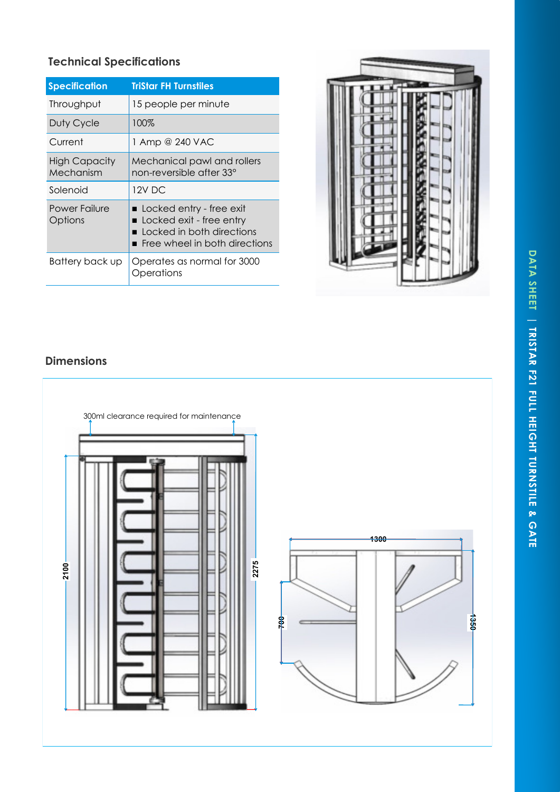# DATA SHEET | TRISTAR F21 FULL HEIGHT TURNSTILE & GATE **DATA SHEET | TRISTAR F21 FULL HEIGHT TURNSTILE & GATE**

## **Technical Specifications**

| <b>Specification</b>              | <b>TriStar FH Turnstiles</b>                                                                                         |
|-----------------------------------|----------------------------------------------------------------------------------------------------------------------|
| Throughput                        | 15 people per minute                                                                                                 |
| Duty Cycle                        | 100%                                                                                                                 |
| Current                           | 1 Amp @ 240 VAC                                                                                                      |
| <b>High Capacity</b><br>Mechanism | Mechanical pawl and rollers<br>non-reversible after 33°                                                              |
| Solenoid                          | 12V DC                                                                                                               |
| Power Failure<br>Options          | ■ Locked entry - free exit<br>Locked exit - free entry<br>Locked in both directions<br>Free wheel in both directions |
| Battery back up                   | Operates as normal for 3000<br>Operations                                                                            |



### **Dimensions**